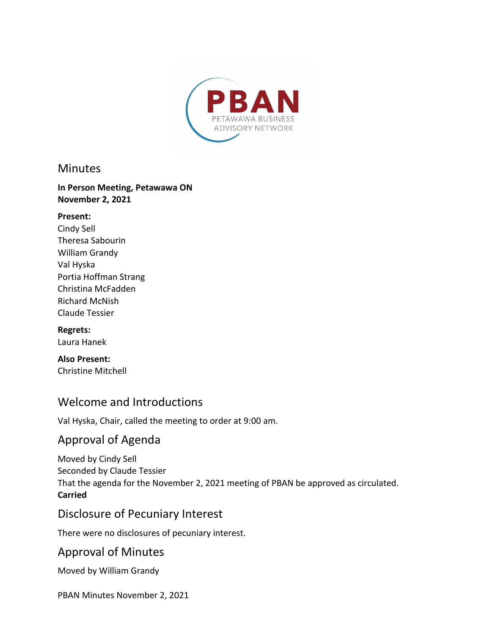

#### **Minutes**

#### **In Person Meeting, Petawawa ON November 2, 2021**

#### **Present:**

Cindy Sell Theresa Sabourin William Grandy Val Hyska Portia Hoffman Strang Christina McFadden Richard McNish Claude Tessier

# **Regrets:**

Laura Hanek

#### **Also Present:**  Christine Mitchell

# Welcome and Introductions

Val Hyska, Chair, called the meeting to order at 9:00 am.

# Approval of Agenda

Moved by Cindy Sell Seconded by Claude Tessier That the agenda for the November 2, 2021 meeting of PBAN be approved as circulated. **Carried**

## Disclosure of Pecuniary Interest

There were no disclosures of pecuniary interest.

## Approval of Minutes

Moved by William Grandy

PBAN Minutes November 2, 2021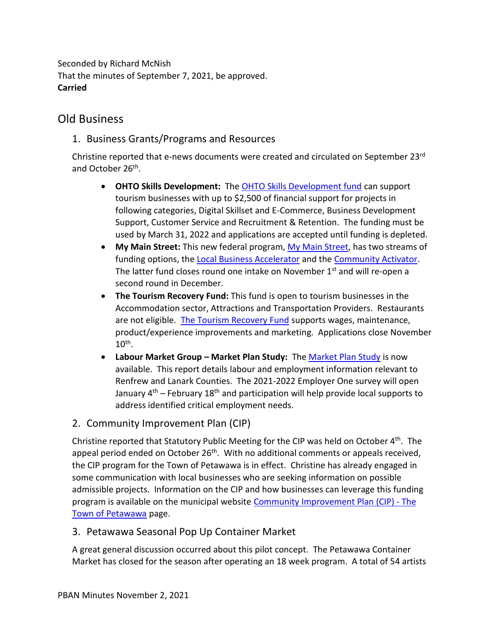Seconded by Richard McNish That the minutes of September 7, 2021, be approved. **Carried**

### Old Business

1. Business Grants/Programs and Resources

Christine reported that e-news documents were created and circulated on September 23rd and October 26<sup>th</sup>.

- · **OHTO Skills Development:** The [OHTO Skills Development fund](https://comewander.ca/app/uploads/2021/09/TRIP-Skills-Development-Guidelines-2021-22-FINAL.pdf) can support tourism businesses with up to \$2,500 of financial support for projects in following categories, Digital Skillset and E-Commerce, Business Development Support, Customer Service and Recruitment & Retention. The funding must be used by March 31, 2022 and applications are accepted until funding is depleted.
- · **My Main Street:** This new federal program, [My Main Street,](https://mymainstreet.ca/) has two streams of funding options, the [Local Business Accelerator](https://mymainstreet.ca/accelerator-program) and the [Community Activator.](https://mymainstreet.ca/activator-program) The latter fund closes round one intake on November  $1<sup>st</sup>$  and will re-open a second round in December.
- · **The Tourism Recovery Fund:** This fund is open to tourism businesses in the Accommodation sector, Attractions and Transportation Providers. Restaurants are not eligible. [The Tourism Recovery Fund](https://www.app.grants.gov.on.ca/otrp/#/) supports wages, maintenance, product/experience improvements and marketing. Applications close November  $10^{\text{th}}$ .
- · **Labour Market Group – Market Plan Study:** The [Market Plan Study](https://www.algonquincollege.com/renfrewlanark/llmp-reports/) is now available. This report details labour and employment information relevant to Renfrew and Lanark Counties. The 2021-2022 Employer One survey will open January  $4<sup>th</sup>$  – February 18<sup>th</sup> and participation will help provide local supports to address identified critical employment needs.
- 2. Community Improvement Plan (CIP)

Christine reported that Statutory Public Meeting for the CIP was held on October 4<sup>th</sup>. The appeal period ended on October 26<sup>th</sup>. With no additional comments or appeals received, the CIP program for the Town of Petawawa is in effect. Christine has already engaged in some communication with local businesses who are seeking information on possible admissible projects. Information on the CIP and how businesses can leverage this funding program is available on the municipal website [Community Improvement Plan \(CIP\) -](https://www.petawawa.ca/business/economic-development/community-improvement-plan-cip/) The [Town of Petawawa](https://www.petawawa.ca/business/economic-development/community-improvement-plan-cip/) page.

#### 3. Petawawa Seasonal Pop Up Container Market

A great general discussion occurred about this pilot concept. The Petawawa Container Market has closed for the season after operating an 18 week program. A total of 54 artists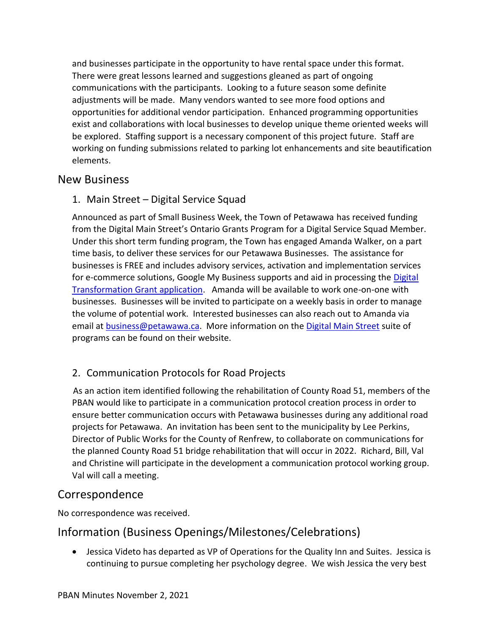and businesses participate in the opportunity to have rental space under this format. There were great lessons learned and suggestions gleaned as part of ongoing communications with the participants. Looking to a future season some definite adjustments will be made. Many vendors wanted to see more food options and opportunities for additional vendor participation. Enhanced programming opportunities exist and collaborations with local businesses to develop unique theme oriented weeks will be explored. Staffing support is a necessary component of this project future. Staff are working on funding submissions related to parking lot enhancements and site beautification elements.

### New Business

1. Main Street – Digital Service Squad

Announced as part of Small Business Week, the Town of Petawawa has received funding from the Digital Main Street's Ontario Grants Program for a Digital Service Squad Member. Under this short term funding program, the Town has engaged Amanda Walker, on a part time basis, to deliver these services for our Petawawa Businesses. The assistance for businesses is FREE and includes advisory services, activation and implementation services for e-commerce solutions, Google My Business supports and aid in processing the Digital [Transformation Grant application](https://digitalmainstreet.ca/digital-transformation-grant-3-0/). Amanda will be available to work one-on-one with businesses. Businesses will be invited to participate on a weekly basis in order to manage the volume of potential work. Interested businesses can also reach out to Amanda via email at **business@petawawa.ca**. More information on the [Digital Main Street](https://digitalmainstreet.ca/) suite of programs can be found on their website.

#### 2. Communication Protocols for Road Projects

As an action item identified following the rehabilitation of County Road 51, members of the PBAN would like to participate in a communication protocol creation process in order to ensure better communication occurs with Petawawa businesses during any additional road projects for Petawawa. An invitation has been sent to the municipality by Lee Perkins, Director of Public Works for the County of Renfrew, to collaborate on communications for the planned County Road 51 bridge rehabilitation that will occur in 2022. Richard, Bill, Val and Christine will participate in the development a communication protocol working group. Val will call a meeting.

# Correspondence

No correspondence was received.

# Information (Business Openings/Milestones/Celebrations)

· Jessica Videto has departed as VP of Operations for the Quality Inn and Suites. Jessica is continuing to pursue completing her psychology degree. We wish Jessica the very best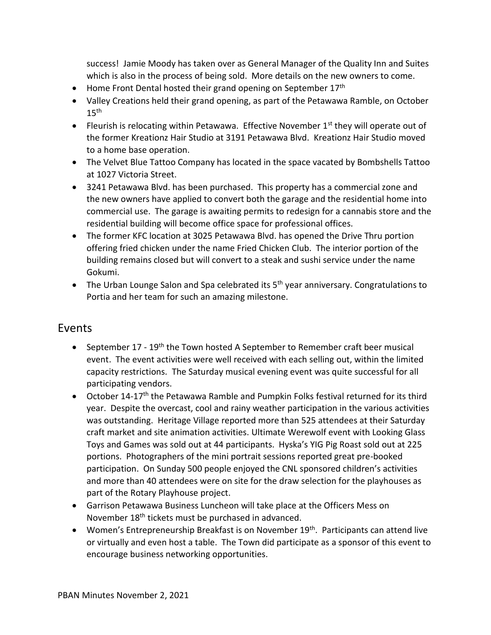success! Jamie Moody has taken over as General Manager of the Quality Inn and Suites which is also in the process of being sold. More details on the new owners to come.

- Home Front Dental hosted their grand opening on September  $17<sup>th</sup>$
- · Valley Creations held their grand opening, as part of the Petawawa Ramble, on October  $15<sup>th</sup>$
- Fleurish is relocating within Petawawa. Effective November  $1<sup>st</sup>$  they will operate out of the former Kreationz Hair Studio at 3191 Petawawa Blvd. Kreationz Hair Studio moved to a home base operation.
- · The Velvet Blue Tattoo Company has located in the space vacated by Bombshells Tattoo at 1027 Victoria Street.
- · 3241 Petawawa Blvd. has been purchased. This property has a commercial zone and the new owners have applied to convert both the garage and the residential home into commercial use. The garage is awaiting permits to redesign for a cannabis store and the residential building will become office space for professional offices.
- · The former KFC location at 3025 Petawawa Blvd. has opened the Drive Thru portion offering fried chicken under the name Fried Chicken Club. The interior portion of the building remains closed but will convert to a steak and sushi service under the name Gokumi.
- The Urban Lounge Salon and Spa celebrated its 5<sup>th</sup> year anniversary. Congratulations to Portia and her team for such an amazing milestone.

## Events

- September 17 19<sup>th</sup> the Town hosted A September to Remember craft beer musical event. The event activities were well received with each selling out, within the limited capacity restrictions. The Saturday musical evening event was quite successful for all participating vendors.
- October 14-17<sup>th</sup> the Petawawa Ramble and Pumpkin Folks festival returned for its third year. Despite the overcast, cool and rainy weather participation in the various activities was outstanding. Heritage Village reported more than 525 attendees at their Saturday craft market and site animation activities. Ultimate Werewolf event with Looking Glass Toys and Games was sold out at 44 participants. Hyska's YIG Pig Roast sold out at 225 portions. Photographers of the mini portrait sessions reported great pre-booked participation. On Sunday 500 people enjoyed the CNL sponsored children's activities and more than 40 attendees were on site for the draw selection for the playhouses as part of the Rotary Playhouse project.
- · Garrison Petawawa Business Luncheon will take place at the Officers Mess on November 18<sup>th</sup> tickets must be purchased in advanced.
- Women's Entrepreneurship Breakfast is on November 19<sup>th</sup>. Participants can attend live or virtually and even host a table. The Town did participate as a sponsor of this event to encourage business networking opportunities.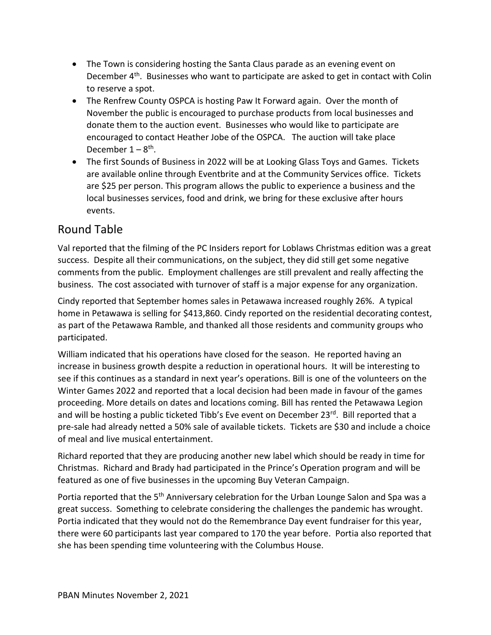- The Town is considering hosting the Santa Claus parade as an evening event on December  $4<sup>th</sup>$ . Businesses who want to participate are asked to get in contact with Colin to reserve a spot.
- The Renfrew County OSPCA is hosting Paw It Forward again. Over the month of November the public is encouraged to purchase products from local businesses and donate them to the auction event. Businesses who would like to participate are encouraged to contact Heather Jobe of the OSPCA. The auction will take place December 1 – 8<sup>th</sup>.
- The first Sounds of Business in 2022 will be at Looking Glass Toys and Games. Tickets are available online through Eventbrite and at the Community Services office. Tickets are \$25 per person. This program allows the public to experience a business and the local businesses services, food and drink, we bring for these exclusive after hours events.

# Round Table

Val reported that the filming of the PC Insiders report for Loblaws Christmas edition was a great success. Despite all their communications, on the subject, they did still get some negative comments from the public. Employment challenges are still prevalent and really affecting the business. The cost associated with turnover of staff is a major expense for any organization.

Cindy reported that September homes sales in Petawawa increased roughly 26%. A typical home in Petawawa is selling for \$413,860. Cindy reported on the residential decorating contest, as part of the Petawawa Ramble, and thanked all those residents and community groups who participated.

William indicated that his operations have closed for the season. He reported having an increase in business growth despite a reduction in operational hours. It will be interesting to see if this continues as a standard in next year's operations. Bill is one of the volunteers on the Winter Games 2022 and reported that a local decision had been made in favour of the games proceeding. More details on dates and locations coming. Bill has rented the Petawawa Legion and will be hosting a public ticketed Tibb's Eve event on December 23 $^{rd}$ . Bill reported that a pre-sale had already netted a 50% sale of available tickets. Tickets are \$30 and include a choice of meal and live musical entertainment.

Richard reported that they are producing another new label which should be ready in time for Christmas. Richard and Brady had participated in the Prince's Operation program and will be featured as one of five businesses in the upcoming Buy Veteran Campaign.

Portia reported that the 5<sup>th</sup> Anniversary celebration for the Urban Lounge Salon and Spa was a great success. Something to celebrate considering the challenges the pandemic has wrought. Portia indicated that they would not do the Remembrance Day event fundraiser for this year, there were 60 participants last year compared to 170 the year before. Portia also reported that she has been spending time volunteering with the Columbus House.